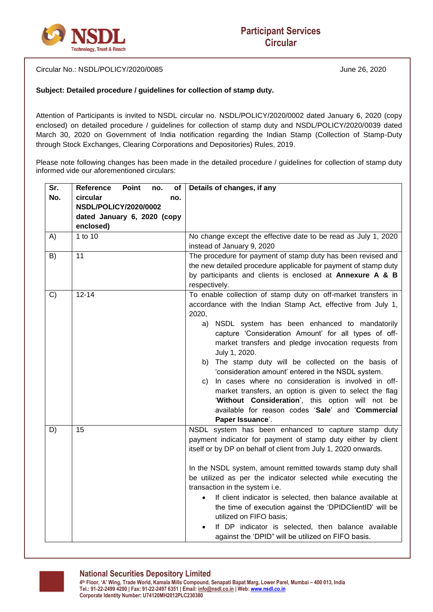

Circular No.: NSDL/POLICY/2020/0085 June 26, 2020

## **Subject: Detailed procedure / guidelines for collection of stamp duty.**

Attention of Participants is invited to NSDL circular no. NSDL/POLICY/2020/0002 dated January 6, 2020 (copy enclosed) on detailed procedure / guidelines for collection of stamp duty and NSDL/POLICY/2020/0039 dated March 30, 2020 on Government of India notification regarding the Indian Stamp (Collection of Stamp-Duty through Stock Exchanges, Clearing Corporations and Depositories) Rules, 2019.

Please note following changes has been made in the detailed procedure / guidelines for collection of stamp duty informed vide our aforementioned circulars:

| Sr.<br>No. | <b>Reference</b><br>Point<br>no.<br>Οf<br>circular<br>no.<br><b>NSDL/POLICY/2020/0002</b><br>dated January 6, 2020 (copy<br>enclosed) | Details of changes, if any<br>No change except the effective date to be read as July 1, 2020<br>instead of January 9, 2020                                                                                                                                                                                                                                                                                                                                                                                                                                                                                                                                                                         |  |  |
|------------|---------------------------------------------------------------------------------------------------------------------------------------|----------------------------------------------------------------------------------------------------------------------------------------------------------------------------------------------------------------------------------------------------------------------------------------------------------------------------------------------------------------------------------------------------------------------------------------------------------------------------------------------------------------------------------------------------------------------------------------------------------------------------------------------------------------------------------------------------|--|--|
| A)         | 1 to 10                                                                                                                               |                                                                                                                                                                                                                                                                                                                                                                                                                                                                                                                                                                                                                                                                                                    |  |  |
| B)         | 11                                                                                                                                    | The procedure for payment of stamp duty has been revised and<br>the new detailed procedure applicable for payment of stamp duty<br>by participants and clients is enclosed at Annexure A & B<br>respectively.                                                                                                                                                                                                                                                                                                                                                                                                                                                                                      |  |  |
| C)         | $12 - 14$                                                                                                                             | To enable collection of stamp duty on off-market transfers in<br>accordance with the Indian Stamp Act, effective from July 1,<br>2020,<br>NSDL system has been enhanced to mandatorily<br>a)<br>capture 'Consideration Amount' for all types of off-<br>market transfers and pledge invocation requests from<br>July 1, 2020.<br>The stamp duty will be collected on the basis of<br>b)<br>'consideration amount' entered in the NSDL system.<br>In cases where no consideration is involved in off-<br>C)<br>market transfers, an option is given to select the flag<br>'Without Consideration', this option will not be<br>available for reason codes 'Sale' and 'Commercial<br>Paper Issuance'. |  |  |
| D)         | 15                                                                                                                                    | NSDL system has been enhanced to capture stamp duty<br>payment indicator for payment of stamp duty either by client<br>itself or by DP on behalf of client from July 1, 2020 onwards.<br>In the NSDL system, amount remitted towards stamp duty shall<br>be utilized as per the indicator selected while executing the<br>transaction in the system i.e.<br>If client indicator is selected, then balance available at<br>the time of execution against the 'DPIDClientID' will be<br>utilized on FIFO basis;<br>If DP indicator is selected, then balance available<br>against the 'DPID" will be utilized on FIFO basis.                                                                         |  |  |